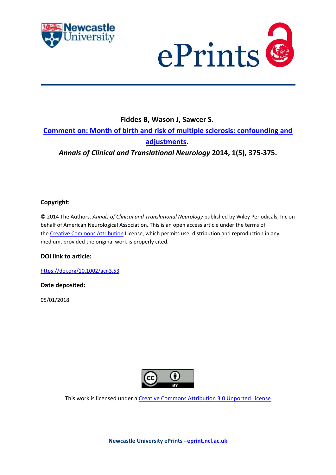



# **Fiddes B, Wason J, Sawcer S. [Comment on: Month of birth and risk of multiple sclerosis: confounding and](https://myimpact.ncl.ac.uk/ViewPublication.aspx?id=244871)  [adjustments.](https://myimpact.ncl.ac.uk/ViewPublication.aspx?id=244871)** *Annals of Clinical and Translational Neurology* **2014, 1(5), 375-375.**

# **Copyright:**

© 2014 The Authors. *Annals of Clinical and Translational Neurology* published by Wiley Periodicals, Inc on behalf of American Neurological Association. This is an open access article under the terms of the [Creative Commons Attribution](http://creativecommons.org/licenses/by/3.0/) License, which permits use, distribution and reproduction in any medium, provided the original work is properly cited.

## **DOI link to article:**

<https://doi.org/10.1002/acn3.53>

### **Date deposited:**

05/01/2018



This work is licensed under a [Creative Commons Attribution 3.0 Unported License](http://creativecommons.org/licenses/by/3.0/)

**Newcastle University ePrints - [eprint.ncl.ac.uk](http://eprint.ncl.ac.uk/)**